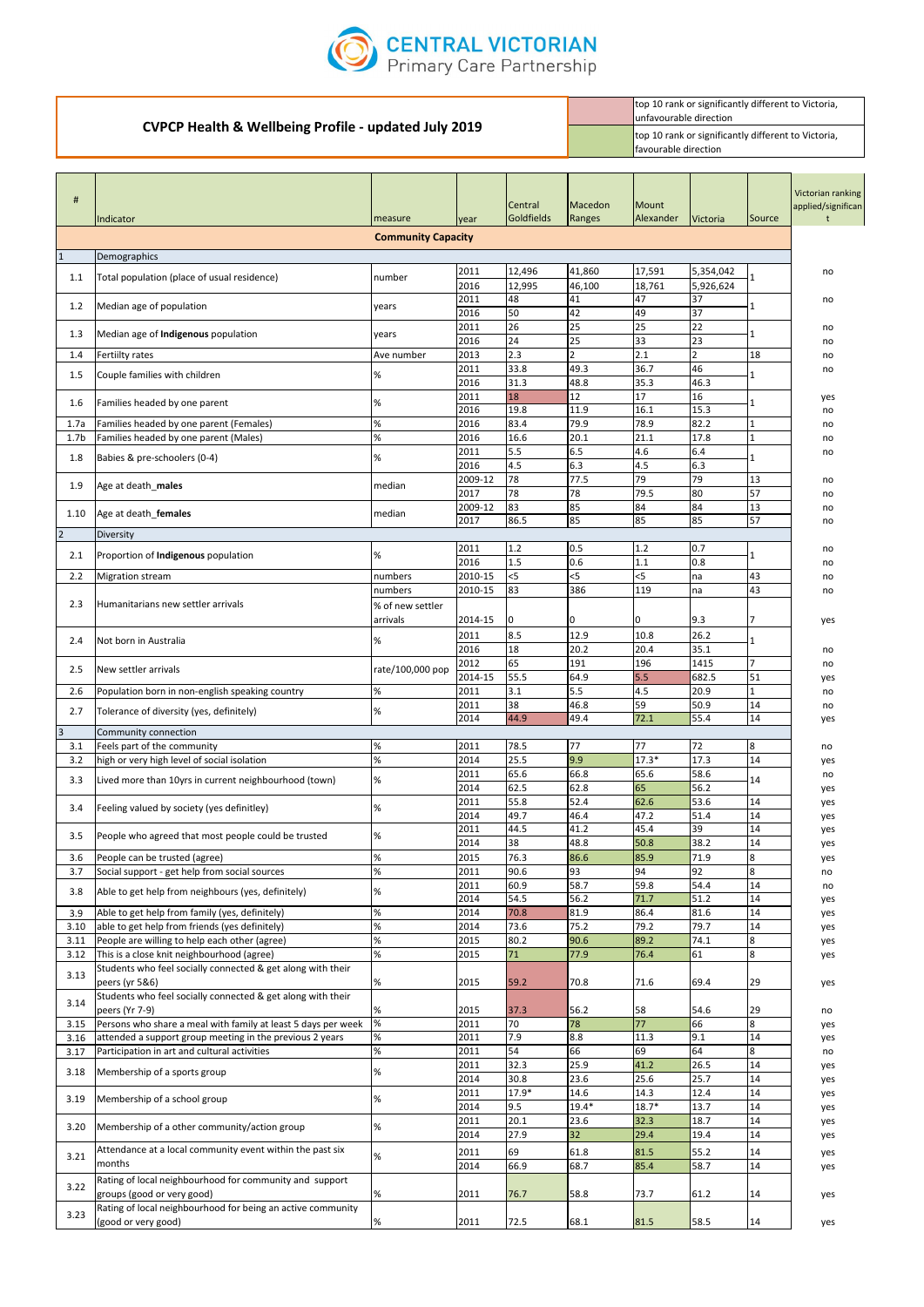| #                | Indicator                                                     | measure                   | year         | Central<br>Goldfields | Macedon<br>Ranges | Mount<br>Alexander | <b>Victoria</b> | Source       | Victorian ranking<br>applied/significan |
|------------------|---------------------------------------------------------------|---------------------------|--------------|-----------------------|-------------------|--------------------|-----------------|--------------|-----------------------------------------|
|                  |                                                               | <b>Community Capacity</b> |              |                       |                   |                    |                 |              |                                         |
|                  | Demographics                                                  |                           |              |                       |                   |                    |                 |              |                                         |
| 1.1              | Total population (place of usual residence)                   | number                    | 2011         | 12,496                | 41,860            | 17,591             | 5,354,042       |              | no                                      |
|                  |                                                               |                           | 2016         | 12,995                | 46,100            | 18,761             | 5,926,624       |              |                                         |
| 1.2              | Median age of population                                      | years                     | 2011         | 48                    | 41                | 47                 | 37              |              | no                                      |
|                  |                                                               |                           | 2016         | 50                    | 42                | 49                 | $\overline{37}$ |              |                                         |
| 1.3              | Median age of Indigenous population                           | vears                     | 2011         | 26                    | 25                | 25                 | 22              |              | no                                      |
|                  |                                                               |                           | 2016         | 24                    | 25                | 33                 | 23              |              | no                                      |
| 1.4              | Fertiilty rates                                               | Ave number                | 2013         | 2.3                   | $\mathcal{P}$     | 2.1                | $\overline{2}$  | 18           | no                                      |
| 1.5              | Couple families with children                                 | %                         | 2011         | 33.8                  | 49.3              | 36.7               | 46              |              | no                                      |
|                  |                                                               |                           | 2016<br>2011 | 31.3<br>18            | 48.8<br>12        | 35.3<br>17         | 46.3<br>16      |              |                                         |
| 1.6              | Families headed by one parent                                 | %                         | 2016         | 19.8                  | 11.9              | 16.1               | 15.3            |              | yes<br>no                               |
| 1.7a             | Families headed by one parent (Females)                       | $\%$                      | 2016         | 83.4                  | 79.9              | 78.9               | 82.2            | 1            | no                                      |
| 1.7 <sub>b</sub> | Families headed by one parent (Males)                         | $\%$                      | 2016         | 16.6                  | 20.1              | 21.1               | 17.8            | $\mathbf{1}$ | no                                      |
|                  |                                                               |                           | 2011         | 5.5                   | 6.5               | 4.6                | 6.4             |              | no                                      |
| 1.8              | Babies & pre-schoolers (0-4)                                  | %                         | 2016         | 4.5                   | 6.3               | 4.5                | 6.3             |              |                                         |
|                  |                                                               |                           | 2009-12      | 78                    | 77.5              | 79                 | 79              | 13           | no                                      |
| 1.9              | Age at death_males                                            | median                    | 2017         | 78                    | 78                | 79.5               | 80              | 57           | no                                      |
|                  |                                                               |                           | 2009-12      | 83                    | 85                | 84                 | 84              | 13           | no                                      |
| 1.10             | Age at death_females                                          | median                    | 2017         | 86.5                  | 85                | 85                 | 85              | 57           | no                                      |
| $\overline{2}$   | Diversity                                                     |                           |              |                       |                   |                    |                 |              |                                         |
| 2.1              | Proportion of Indigenous population                           | %                         | 2011         | 1.2                   | 0.5               | 1.2                | 0.7             | 1            | no                                      |
|                  |                                                               |                           | 2016         | 1.5                   | 0.6               | 1.1                | 0.8             |              | no                                      |
| 2.2              | <b>Migration stream</b>                                       | numbers                   | 2010-15      | $<$ 5                 | $<$ 5             | 5                  | na              | 43           | no                                      |
|                  |                                                               | numbers                   | 2010-15      | 83                    | 386               | 119                | na              | 43           | no                                      |
| 2.3              | Humanitarians new settler arrivals                            | % of new settler          |              |                       |                   |                    |                 |              |                                         |
|                  |                                                               | arrivals                  | 2014-15      | 0                     | I0                | 0                  | 9.3             |              | yes                                     |
| 2.4              | Not born in Australia                                         | %                         | 2011         | 8.5                   | 12.9              | 10.8               | 26.2            |              |                                         |
|                  |                                                               |                           | 2016         | 18                    | 20.2              | 20.4               | 35.1            |              | no                                      |
| 2.5              | New settler arrivals                                          | rate/100,000 pop          | 2012         | 65                    | 191               | 196                | 1415            | 17           | no                                      |
|                  |                                                               |                           | 2014-15      | 55.5                  | 64.9              | 5.5                | 682.5           | 51           | yes                                     |
| 2.6              | Population born in non-english speaking country               | %                         | 2011         | 3.1                   | 5.5               | 4.5                | 20.9            |              | no                                      |
| 2.7              | Tolerance of diversity (yes, definitely)                      | %                         | 2011         | 38                    | 46.8              | 59                 | 50.9            | 14           | no                                      |
|                  |                                                               |                           | 2014         | 44.9                  | 49.4              | 72.1               | 55.4            | 14           | yes                                     |
| $\overline{3}$   | Community connection                                          |                           |              |                       |                   |                    |                 |              |                                         |
| 3.1              | Feels part of the community                                   | %                         | 2011         | 78.5                  | 77                | 77                 | 72              | 8            | no                                      |
| 3.2              | high or very high level of social isolation                   | $\%$                      | 2014         | 25.5                  | 9.9               | $17.3*$            | 17.3            | 14           | yes                                     |
| 3.3              | Lived more than 10yrs in current neighbourhood (town)         | %                         | 2011<br>2014 | 65.6<br>62.5          | 66.8<br>62.8      | 65.6<br>65         | 58.6<br>56.2    | 14           | no                                      |
|                  |                                                               |                           | 2011         | 55.8                  | 52.4              | 62.6               | 53.6            | 14           | yes                                     |
| 3.4              | Feeling valued by society (yes definitley)                    | %                         | 2014         | 49.7                  | 46.4              | 47.2               | 51.4            | 14           | yes<br>yes                              |
|                  |                                                               |                           | 2011         | 44.5                  | 41.2              | 45.4               | 39              | 14           | yes                                     |
| 3.5              | People who agreed that most people could be trusted           | %                         | 2014         | 38                    | 48.8              | 50.8               | 38.2            | 14           | yes                                     |
| 3.6              | People can be trusted (agree)                                 | $\%$                      | 2015         | 76.3                  | 86.6              | 85.9               | 71.9            | 8            | yes                                     |
| 3.7              | Social support - get help from social sources                 | $\%$                      | 2011         | 90.6                  | 93                | 94                 | 92              | 8            | no                                      |
|                  |                                                               |                           | 2011         | 60.9                  | 58.7              | 59.8               | 54.4            | 14           | no                                      |
| 3.8              | Able to get help from neighbours (yes, definitely)            | %                         | 2014         | 54.5                  | 56.2              | 71.7               | 51.2            | 14           | yes                                     |
| 3.9              | Able to get help from family (yes, definitely)                | %                         | 2014         | 70.8                  | 81.9              | 86.4               | 81.6            | 14           | yes                                     |
| 3.10             | able to get help from friends (yes definitely)                | $\%$                      | 2014         | 73.6                  | 75.2              | 79.2               | 79.7            | 14           | yes                                     |
| 3.11             | People are willing to help each other (agree)                 | $\%$                      | 2015         | 80.2                  | 90.6              | 89.2               | 74.1            | 8            | yes                                     |
| 3.12             | This is a close knit neighbourhood (agree)                    | $\%$                      | 2015         | 71                    | 77.9              | 76.4               | 61              | 8            | yes                                     |
| 3.13             | Students who feel socially connected & get along with their   |                           |              |                       |                   |                    |                 |              |                                         |
|                  | peers (yr 5&6)                                                | %                         | 2015         | 59.2                  | 70.8              | 71.6               | 69.4            | 29           | yes                                     |
| 3.14             | Students who feel socially connected & get along with their   |                           |              |                       |                   |                    |                 |              |                                         |
|                  | peers (Yr 7-9)                                                | %                         | 2015         | 37.3                  | 56.2              | 58                 | 54.6            | 29           | no                                      |
| 3.15             | Persons who share a meal with family at least 5 days per week | $\%$                      | 2011         | 70                    | 78                | 77                 | 66              | 8            | yes                                     |
| 3.16             | attended a support group meeting in the previous 2 years      | $\%$                      | 2011         | 7.9                   | 8.8               | 11.3               | 9.1             | 14           | yes                                     |
| 3.17             | Participation in art and cultural activities                  | $\%$                      | 2011         | 54                    | 66                | 69                 | 64              | 8            | no                                      |
| 3.18             | Membership of a sports group                                  | %                         | 2011         | 32.3                  | 25.9              | 41.2               | 26.5            | 14           | yes                                     |
|                  |                                                               |                           | 2014         | 30.8                  | 23.6              | 25.6               | 25.7            | 14           | yes                                     |
| 3.19             | Membership of a school group                                  | %                         | 2011         | 17.9*                 | 14.6              | 14.3               | 12.4            | 14           | yes                                     |
|                  |                                                               |                           | 2014         | 9.5                   | $19.4*$           | $18.7*$            | 13.7            | 14           | yes                                     |
| 3.20             | Membership of a other community/action group                  | %                         | 2011         | 20.1                  | 23.6              | 32.3               | 18.7            | 14           | yes                                     |
|                  |                                                               |                           | 2014         | 27.9                  | 32                | 29.4               | 19.4            | 14           | yes                                     |
| 3.21             | Attendance at a local community event within the past six     | %                         | 2011         | 69                    | 61.8              | 81.5               | 55.2            | 14           | yes                                     |
|                  | months                                                        |                           | 2014         | 66.9                  | 68.7              | 85.4               | 58.7            | 14           | yes                                     |
| 3.22             | Rating of local neighbourhood for community and support       |                           |              |                       |                   |                    |                 |              |                                         |
|                  | groups (good or very good)                                    | $\%$                      | 2011         | 76.7                  | 58.8              | 73.7               | 61.2            | 14           | yes                                     |
| 3.23             | Rating of local neighbourhood for being an active community   |                           |              |                       |                   |                    |                 |              |                                         |
|                  | (good or very good)                                           | $\%$                      | 2011         | 72.5                  | 68.1              | 81.5               | 58.5            | 14           | yes                                     |



## **CVPCP Health & Wellbeing Profile - updated July 2019** top 10 rank or significantly different to Victoria, unfavourable direction top 10 rank or significantly different to Victoria, favourable direction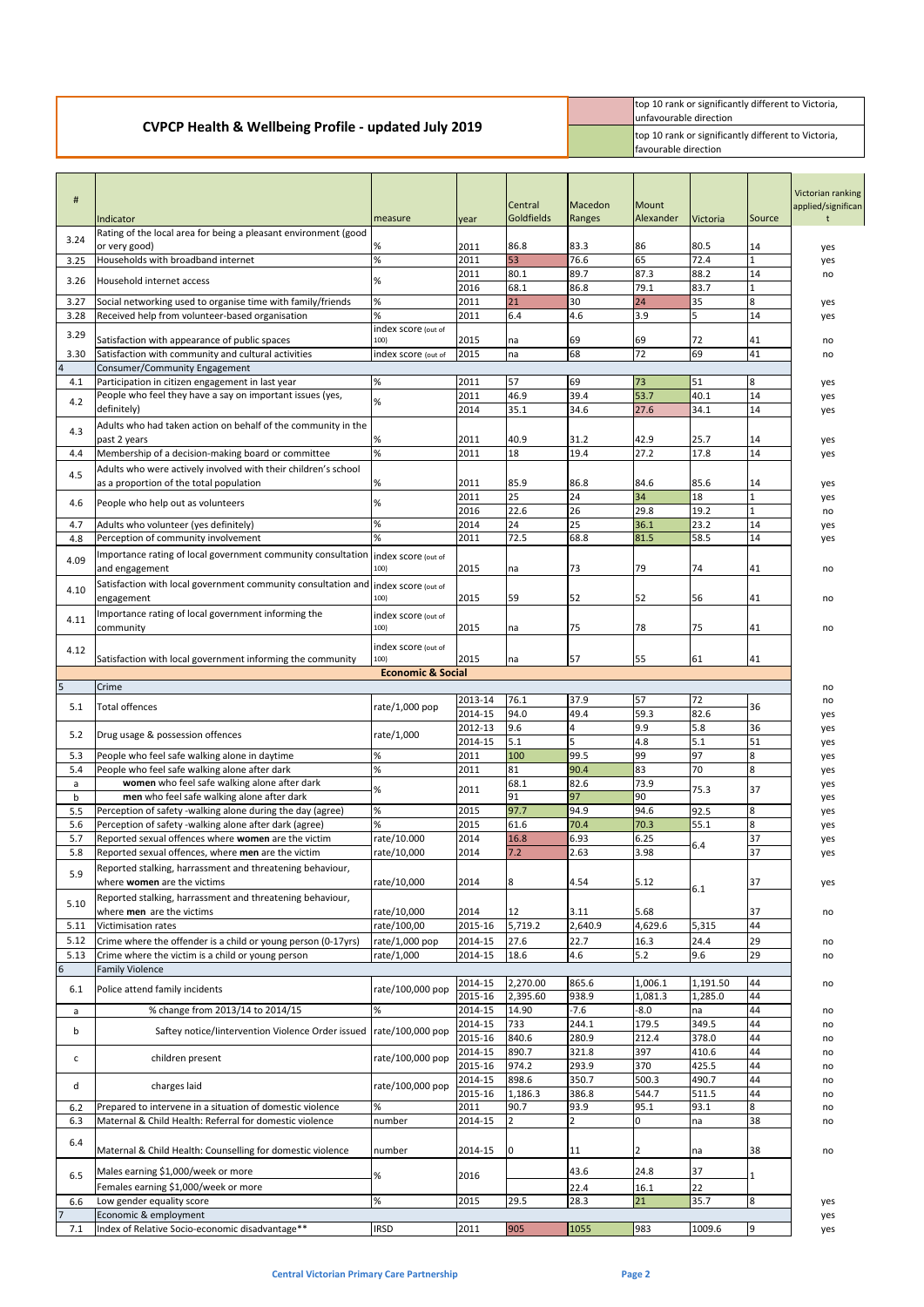|                                                                 | top 10 rank or significantly different to Victoria,<br>lunfavourable direction       |
|-----------------------------------------------------------------|--------------------------------------------------------------------------------------|
| <b>CVPCP Health &amp; Wellbeing Profile - updated July 2019</b> | top 10 rank or significantly different to Victoria,<br><b>I</b> favourable direction |

| #                     | Indicator                                                                                                 | measure                      | year               | Central<br>Goldfields | Macedon<br>Ranges | <b>Mount</b><br>Alexander | <b>Victoria</b> | Source           | Victorian ranking<br>applied/significan |
|-----------------------|-----------------------------------------------------------------------------------------------------------|------------------------------|--------------------|-----------------------|-------------------|---------------------------|-----------------|------------------|-----------------------------------------|
| 3.24                  | Rating of the local area for being a pleasant environment (good                                           |                              |                    |                       |                   |                           |                 |                  |                                         |
| 3.25                  | or very good)<br>Households with broadband internet                                                       | %<br>$\%$                    | 2011<br>2011       | 86.8<br>53            | 83.3<br>76.6      | 86<br>65                  | 80.5<br>72.4    | 14<br>1          | yes<br>yes                              |
|                       |                                                                                                           |                              | 2011               | 80.1                  | 89.7              | 87.3                      | 88.2            | 14               | no                                      |
| 3.26                  | Household internet access                                                                                 | %                            | 2016               | 68.1                  | 86.8              | 79.1                      | 83.7            | 1                |                                         |
| 3.27                  | Social networking used to organise time with family/friends                                               | $\%$<br>%                    | 2011               | 21                    | 30                | 24                        | 35              | 8                | yes                                     |
| 3.28                  | Received help from volunteer-based organisation                                                           | index score (out of          | 2011               | 6.4                   | 4.6               | 3.9                       | 5               | 14               | yes                                     |
| 3.29                  | Satisfaction with appearance of public spaces                                                             | 100)                         | 2015               | na                    | 69                | 69                        | 72              | 41               | no                                      |
| 3.30                  | Satisfaction with community and cultural activities                                                       | index score (out of          | 2015               | na                    | 68                | 72                        | 69              | 41               | no                                      |
| $\overline{a}$<br>4.1 | Consumer/Community Engagement<br>Participation in citizen engagement in last year                         | $\%$                         | 2011               | 57                    | 69                | 73                        | 51              | $\boldsymbol{8}$ |                                         |
|                       | People who feel they have a say on important issues (yes,                                                 |                              | 2011               | 46.9                  | 39.4              | 53.7                      | 40.1            | 14               | yes<br>yes                              |
| 4.2                   | definitely)                                                                                               | $\%$                         | 2014               | 35.1                  | 34.6              | 27.6                      | 34.1            | 14               | yes                                     |
| 4.3                   | Adults who had taken action on behalf of the community in the<br>past 2 years                             | %                            | 2011               | 40.9                  | 31.2              | 42.9                      | 25.7            | 14               | yes                                     |
| 4.4                   | Membership of a decision-making board or committee                                                        | $\%$                         | 2011               | 18                    | 19.4              | 27.2                      | 17.8            | 14               | yes                                     |
| 4.5                   | Adults who were actively involved with their children's school                                            |                              |                    |                       |                   |                           |                 |                  |                                         |
|                       | as a proportion of the total population                                                                   | %                            | 2011               | 85.9<br>25            | 86.8              | 84.6                      | 85.6<br>18      | 14               | yes                                     |
| 4.6                   | People who help out as volunteers                                                                         | %                            | 2011<br>2016       | 22.6                  | 24<br>26          | 34<br>29.8                | 19.2            | 1<br>1           | yes<br>no                               |
| 4.7                   | Adults who volunteer (yes definitely)                                                                     | $\%$                         | 2014               | 24                    | 25                | 36.1                      | 23.2            | 14               | yes                                     |
| 4.8                   | Perception of community involvement                                                                       | %                            | 2011               | 72.5                  | 68.8              | 81.5                      | 58.5            | 14               | yes                                     |
| 4.09                  | Importance rating of local government community consultation index score (out of<br>and engagement        | 100)                         | 2015               | na                    | 73                | 79                        | 74              | 41               | no                                      |
| 4.10                  | Satisfaction with local government community consultation and<br>engagement                               | index score (out of<br>100)  | 2015               | 59                    | 52                | 52                        | 56              | 41               | no                                      |
|                       | Importance rating of local government informing the                                                       |                              |                    |                       |                   |                           |                 |                  |                                         |
| 4.11                  | community                                                                                                 | index score (out of<br>100)  | 2015               | na                    | 75                | 78                        | 75              | 41               | no                                      |
|                       |                                                                                                           | index score (out of          |                    |                       |                   |                           |                 |                  |                                         |
| 4.12                  | Satisfaction with local government informing the community                                                | 100)                         | 2015               | na                    | 57                | 55                        | 61              | 41               |                                         |
|                       |                                                                                                           | <b>Economic &amp; Social</b> |                    |                       |                   |                           |                 |                  |                                         |
| $\overline{5}$        | Crime                                                                                                     |                              | 2013-14            | 76.1                  | 37.9              | 57                        | 72              |                  | no                                      |
| 5.1                   | <b>Total offences</b>                                                                                     | rate/1,000 pop               | 2014-15            | 94.0                  | 49.4              | 59.3                      | 82.6            | 36               | no<br>yes                               |
| 5.2                   | Drug usage & possession offences                                                                          | rate/1,000                   | 2012-13            | 9.6                   | 4                 | 9.9                       | 5.8             | 36               | yes                                     |
|                       |                                                                                                           |                              | 2014-15            | 5.1                   | 5                 | 4.8                       | 5.1             | 51               | yes                                     |
| 5.3                   | People who feel safe walking alone in daytime                                                             | %                            | 2011               | 100                   | 99.5              | 99                        | 97              | $\boldsymbol{8}$ | yes                                     |
| 5.4<br>a              | People who feel safe walking alone after dark<br>women who feel safe walking alone after dark             | $\%$                         | 2011               | 81<br>68.1            | 90.4<br>82.6      | 83<br>73.9                | 70              | $\overline{8}$   | yes<br>yes                              |
| b                     | men who feel safe walking alone after dark                                                                | %                            | 2011               | 91                    | 97                | 90                        | 75.3            | 37               | yes                                     |
| 5.5                   | Perception of safety -walking alone during the day (agree)                                                | %                            | 2015               | 97.7                  | 94.9              | 94.6                      | 92.5            | $8\,$            | yes                                     |
| 5.6                   | Perception of safety -walking alone after dark (agree)                                                    | %                            | 2015               | 61.6                  | 70.4              | 70.3                      | 55.1            | $\bf{8}$         | yes                                     |
| 5.7<br>5.8            | Reported sexual offences where women are the victim<br>Reported sexual offences, where men are the victim | rate/10.000<br>rate/10,000   | 2014<br>2014       | 16.8<br>7.2           | 6.93<br>2.63      | 6.25<br>3.98              | 6.4             | 37<br>37         | yes                                     |
|                       | Reported stalking, harrassment and threatening behaviour,                                                 |                              |                    |                       |                   |                           |                 |                  | yes                                     |
| 5.9                   | where <b>women</b> are the victims                                                                        | rate/10,000                  | 2014               | 8                     | 4.54              | 5.12                      | 6.1             | 37               | yes                                     |
| 5.10                  | Reported stalking, harrassment and threatening behaviour,<br>where men are the victims                    | rate/10,000                  | 2014               | 12                    | 3.11              | 5.68                      |                 | 37               | no                                      |
| 5.11                  | Victimisation rates                                                                                       | rate/100,00                  | 2015-16            | 5,719.2               | 2,640.9           | 4,629.6                   | 5,315           | 44               |                                         |
| 5.12                  | Crime where the offender is a child or young person (0-17yrs)                                             | rate/1,000 pop               | 2014-15            | 27.6                  | 22.7              | 16.3                      | 24.4            | 29               | no                                      |
| 5.13                  | Crime where the victim is a child or young person                                                         | rate/1,000                   | 2014-15            | 18.6                  | 4.6               | 5.2                       | 9.6             | 29               | no                                      |
| $6\phantom{a}$        | <b>Family Violence</b>                                                                                    |                              |                    |                       |                   |                           |                 |                  |                                         |
| 6.1                   | Police attend family incidents                                                                            | rate/100,000 pop             | 2014-15            | 2,270.00              | 865.6             | 1,006.1                   | 1,191.50        | 44               | no                                      |
| a                     | % change from 2013/14 to 2014/15                                                                          | %                            | 2015-16<br>2014-15 | 2,395.60<br>14.90     | 938.9<br>$-7.6$   | 1,081.3<br>$-8.0$         | 1,285.0<br>na   | 44<br>44         | no                                      |
|                       |                                                                                                           |                              | 2014-15            | 733                   | 244.1             | 179.5                     | 349.5           | 44               | no                                      |
| b                     | Saftey notice/lintervention Violence Order issued                                                         | rate/100,000 pop             | 2015-16            | 840.6                 | 280.9             | 212.4                     | 378.0           | 44               | no                                      |
| с                     | children present                                                                                          | rate/100,000 pop             | 2014-15            | 890.7                 | 321.8             | 397                       | 410.6           | 44               | no                                      |
|                       |                                                                                                           |                              | 2015-16<br>2014-15 | 974.2<br>898.6        | 293.9             | 370<br>500.3              | 425.5<br>490.7  | 44<br>44         | no                                      |
| d                     | charges laid                                                                                              | rate/100,000 pop             | 2015-16            | 1,186.3               | 350.7<br>386.8    | 544.7                     | 511.5           | 44               | no<br>no                                |
| 6.2                   | Prepared to intervene in a situation of domestic violence                                                 | %                            | 2011               | 90.7                  | 93.9              | 95.1                      | 93.1            | 8                | no                                      |
| 6.3                   | Maternal & Child Health: Referral for domestic violence                                                   | number                       | 2014-15            | $\overline{2}$        | $\overline{2}$    | 0                         | na              | 38               | no                                      |
| 6.4                   | Maternal & Child Health: Counselling for domestic violence                                                | number                       | 2014-15            | 0                     | 11                | 2                         | na              | 38               | no                                      |
|                       | Males earning \$1,000/week or more                                                                        |                              |                    |                       | 43.6              | 24.8                      | 37              |                  |                                         |
| 6.5                   | Females earning \$1,000/week or more                                                                      | $\%$                         | 2016               |                       | 22.4              | 16.1                      | 22              | 1                |                                         |
| 6.6                   | Low gender equality score                                                                                 | $\%$                         | 2015               | 29.5                  | 28.3              | 21                        | 35.7            | 8                | yes                                     |
| $\overline{7}$        | Economic & employment                                                                                     |                              |                    |                       |                   |                           |                 |                  | yes                                     |
| 7.1                   | Index of Relative Socio-economic disadvantage**                                                           | <b>IRSD</b>                  | 2011               | 905                   | 1055              | 983                       | 1009.6          | 9                | yes                                     |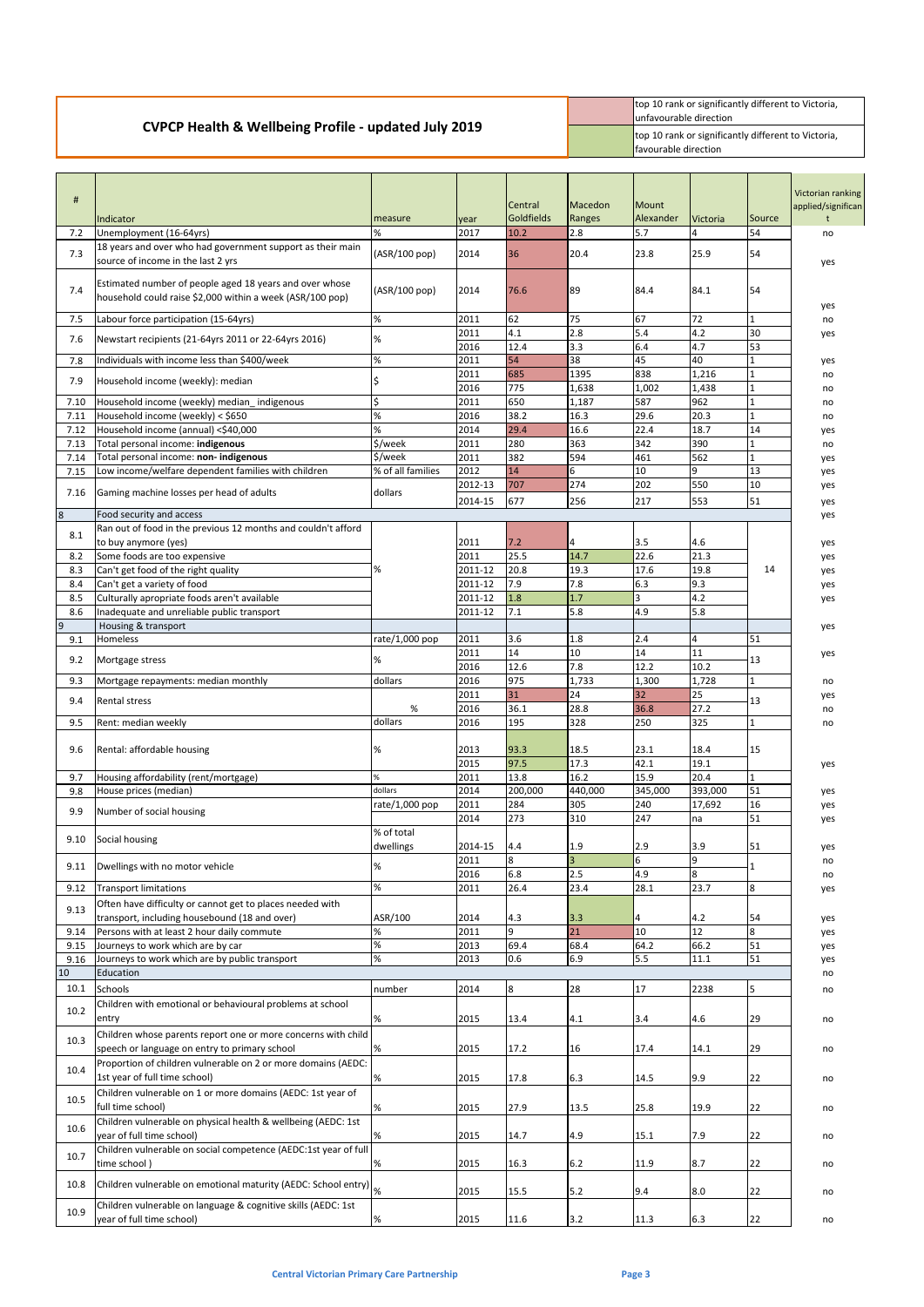## **CVPCP Health & Wellbeing Profile - updated July 2019**

top 10 rank or significantly different to Victoria, unfavourable direction top 10 rank or significantly different to Victoria, favourable direction

| #                | Indicator                                                                                                            | measure                         | vear            | Central<br>Goldfields | Macedon<br>Ranges | Mount<br>Alexander    | <b>Victoria</b> | Source            | Victorian ranking<br>applied/significan |
|------------------|----------------------------------------------------------------------------------------------------------------------|---------------------------------|-----------------|-----------------------|-------------------|-----------------------|-----------------|-------------------|-----------------------------------------|
| 7.2              | Unemployment (16-64yrs)                                                                                              | %                               | 2017            | 10.2                  | 2.8               | 5.7                   | 4               | 54                | no                                      |
| 7.3              | 18 years and over who had government support as their main<br>source of income in the last 2 yrs                     | (ASR/100 pop)                   | 2014            | 36                    | 20.4              | 23.8                  | 25.9            | 54                | yes                                     |
| 7.4              | Estimated number of people aged 18 years and over whose<br>household could raise \$2,000 within a week (ASR/100 pop) | (ASR/100 pop)                   | 2014            | 76.6                  | 89                | 84.4                  | 84.1            | 54                | yes                                     |
| 7.5              | Labour force participation (15-64yrs)                                                                                | $\%$                            | 2011            | 62                    | 75                | 67                    | 72              | 1                 | no                                      |
| 7.6              | Newstart recipients (21-64yrs 2011 or 22-64yrs 2016)                                                                 | %                               | 2011            | 4.1                   | 2.8               | 5.4                   | 4.2             | 30                | yes                                     |
|                  |                                                                                                                      |                                 | 2016            | 12.4                  | 3.3               | 6.4                   | 4.7             | 53                |                                         |
| 7.8              | Individuals with income less than \$400/week                                                                         | $\%$                            | 2011            | 54                    | 38                | 45                    | 40              | $\mathbf{1}$      | yes                                     |
| 7.9              | Household income (weekly): median                                                                                    |                                 | 2011            | 685                   | 1395              | 838                   | 1,216           |                   | no                                      |
|                  |                                                                                                                      |                                 | 2016            | 775                   | 1,638             | 1,002                 | 1,438           | 1                 | no                                      |
| 7.10             | Household income (weekly) median_indigenous<br>Household income (weekly) < \$650                                     | $\overline{\mathsf{S}}$<br>$\%$ | 2011<br>2016    | 650<br>38.2           | 1,187<br>16.3     | 587<br>29.6           | 962<br>20.3     | $\mathbf{1}$<br>1 | no                                      |
| 7.11<br>7.12     | Household income (annual) <\$40,000                                                                                  | %                               | 2014            | 29.4                  | 16.6              | 22.4                  | 18.7            | 14                | no<br>yes                               |
| 7.13             | Total personal income: indigenous                                                                                    | $\overline{\frac{1}{5}}$ /week  | 2011            | 280                   | 363               | 342                   | 390             |                   | no                                      |
| 7.14             | Total personal income: non- indigenous                                                                               | \$/week                         | 2011            | 382                   | 594               | 461                   | 562             | 1                 | yes                                     |
| 7.15             | Low income/welfare dependent families with children                                                                  | % of all families               | 2012            | 14                    | 6                 | 10                    | 9               | 13                | yes                                     |
|                  |                                                                                                                      |                                 | 2012-13         | 707                   | 274               | 202                   | 550             | 10                | yes                                     |
| 7.16             | Gaming machine losses per head of adults                                                                             | dollars                         | 2014-15         | 677                   | 256               | 217                   | 553             | 51                | yes                                     |
| $\boldsymbol{8}$ | Food security and access                                                                                             |                                 |                 |                       |                   |                       |                 |                   | yes                                     |
| 8.1              | Ran out of food in the previous 12 months and couldn't afford<br>to buy anymore (yes)                                |                                 | 2011            | 7.2                   | 4                 | 3.5                   | 4.6             |                   | yes                                     |
| 8.2              | Some foods are too expensive                                                                                         |                                 | 2011            | 25.5                  | 14.7              | 22.6                  | 21.3            |                   | yes                                     |
| 8.3              | Can't get food of the right quality                                                                                  | %                               | 2011-12         | 20.8                  | 19.3              | 17.6                  | 19.8            | 14                | yes                                     |
| 8.4              | Can't get a variety of food                                                                                          |                                 | 2011-12         | 7.9                   | 7.8               | 6.3                   | 9.3             |                   | yes                                     |
| 8.5              | Culturally apropriate foods aren't available                                                                         |                                 | 2011-12         | 1.8                   | 1.7               | $\overline{3}$        | 4.2             |                   | yes                                     |
| 8.6              | Inadequate and unreliable public transport                                                                           |                                 | 2011-12         | 7.1                   | 5.8               | 4.9                   | 5.8             |                   |                                         |
| $\overline{9}$   | Housing & transport                                                                                                  |                                 |                 |                       |                   |                       |                 |                   | yes                                     |
| 9.1              | <b>Homeless</b>                                                                                                      | rate/1,000 pop                  | 2011            | 3.6                   | 1.8               | 2.4                   | $\overline{4}$  | 51                |                                         |
| 9.2              | Mortgage stress                                                                                                      | %                               | 2011            | 14                    | 10                | 14                    | 11              | 13                | yes                                     |
|                  |                                                                                                                      | dollars                         | 2016<br>2016    | 12.6<br>975           | 7.8<br>1,733      | 12.2<br>1,300         | 10.2<br>1,728   |                   |                                         |
| 9.3              | Mortgage repayments: median monthly                                                                                  |                                 | 2011            | 31                    | 24                | 32                    | 25              |                   | no<br>yes                               |
| 9.4              | <b>Rental stress</b>                                                                                                 | %                               | 2016            | 36.1                  | 28.8              | 36.8                  | 27.2            | 13                | no                                      |
| 9.5              | Rent: median weekly                                                                                                  | dollars                         | 2016            | 195                   | 328               | 250                   | 325             | 1                 | no                                      |
|                  |                                                                                                                      |                                 |                 |                       |                   |                       |                 |                   |                                         |
| 9.6              | Rental: affordable housing                                                                                           | %                               | 2013            | 93.3                  | 18.5              | 23.1                  | 18.4            | 15                |                                         |
|                  |                                                                                                                      |                                 | 2015            | 97.5                  | 17.3              | 42.1                  | 19.1            |                   | yes                                     |
| 9.7              | Housing affordability (rent/mortgage)                                                                                |                                 | 2011            | 13.8                  | 16.2              | 15.9                  | 20.4            |                   |                                         |
| 9.8              | House prices (median)                                                                                                | dollars                         | 2014            | 200,000               | 440,000           | 345,000               | 393,000         | 51                | yes                                     |
| 9.9              | Number of social housing                                                                                             | rate/1,000 pop                  | 2011            | 284                   | 305               | 240                   | 17,692          | 16                | yes                                     |
|                  |                                                                                                                      |                                 | 2014            | 273                   | 310               | 247                   | na              | 51                | yes                                     |
| 9.10             | Social housing                                                                                                       | % of total<br>dwellings         |                 |                       |                   |                       | 3.9             |                   |                                         |
|                  |                                                                                                                      |                                 | 2014-15<br>2011 | 4.4<br>8              | 1.9               | 2.9<br>$6\phantom{a}$ | 9               | 51                | yes<br>no                               |
| 9.11             | Dwellings with no motor vehicle                                                                                      | %                               | 2016            | 6.8                   | 2.5               | 4.9                   | 8               |                   | no                                      |
| 9.12             | <b>Transport limitations</b>                                                                                         | %                               | 2011            | 26.4                  | 23.4              | 28.1                  | 23.7            | 8                 | yes                                     |
|                  | Often have difficulty or cannot get to places needed with                                                            |                                 |                 |                       |                   |                       |                 |                   |                                         |
| 9.13             | transport, including housebound (18 and over)                                                                        | ASR/100                         | 2014            | 4.3                   | 3.3               | 4                     | 4.2             | 54                | yes                                     |
| 9.14             | Persons with at least 2 hour daily commute                                                                           | %                               | 2011            | 9                     | 21                | 10                    | 12              | 8                 | yes                                     |
| 9.15             | Journeys to work which are by car                                                                                    | $\%$                            | 2013            | 69.4                  | 68.4              | 64.2                  | 66.2            | 51                | yes                                     |
| 9.16             | Journeys to work which are by public transport                                                                       | %                               | 2013            | 0.6                   | 6.9               | 5.5                   | 11.1            | 51                | yes                                     |
| 10               | Education                                                                                                            |                                 |                 |                       |                   |                       |                 |                   | no                                      |
| 10.1             | Schools                                                                                                              | number                          | 2014            | $\bf{8}$              | 28                | 17                    | 2238            | 5                 | no                                      |
| 10.2             | Children with emotional or behavioural problems at school                                                            |                                 |                 |                       |                   |                       |                 |                   |                                         |
|                  | entry                                                                                                                | %                               | 2015            | 13.4                  | 4.1               | 3.4                   | 4.6             | 29                | no                                      |
| 10.3             | Children whose parents report one or more concerns with child                                                        |                                 |                 |                       |                   |                       |                 |                   |                                         |
|                  | speech or language on entry to primary school                                                                        | %                               | 2015            | 17.2                  | 16                | 17.4                  | 14.1            | 29                | no                                      |
| 10.4             | Proportion of children vulnerable on 2 or more domains (AEDC:<br>1st year of full time school)                       | %                               | 2015            | 17.8                  | 6.3               | 14.5                  | 9.9             | 22                | no                                      |
|                  | Children vulnerable on 1 or more domains (AEDC: 1st year of                                                          |                                 |                 |                       |                   |                       |                 |                   |                                         |
| 10.5             | full time school)                                                                                                    | %                               | 2015            | 27.9                  | 13.5              | 25.8                  | 19.9            | 22                | no                                      |
|                  | Children vulnerable on physical health & wellbeing (AEDC: 1st                                                        |                                 |                 |                       |                   |                       |                 |                   |                                         |
| 10.6             | year of full time school)                                                                                            | %                               | 2015            | 14.7                  | 4.9               | 15.1                  | 7.9             | 22                | no                                      |
| 10.7             | Children vulnerable on social competence (AEDC:1st year of full                                                      |                                 |                 |                       |                   |                       |                 |                   |                                         |
|                  | time school)                                                                                                         | $\%$                            | 2015            | 16.3                  | $6.2$             | 11.9                  | 8.7             | 22                | no                                      |
| 10.8             | Children vulnerable on emotional maturity (AEDC: School entry) $\big _{\%}$                                          |                                 |                 |                       |                   |                       |                 |                   |                                         |
|                  |                                                                                                                      |                                 | 2015            | 15.5                  | 5.2               | 9.4                   | 8.0             | 22                | no                                      |
| 10.9             | Children vulnerable on language & cognitive skills (AEDC: 1st<br>year of full time school)                           | $\%$                            | 2015            | 11.6                  | 3.2               | 11.3                  | 6.3             | 22                | no                                      |
|                  |                                                                                                                      |                                 |                 |                       |                   |                       |                 |                   |                                         |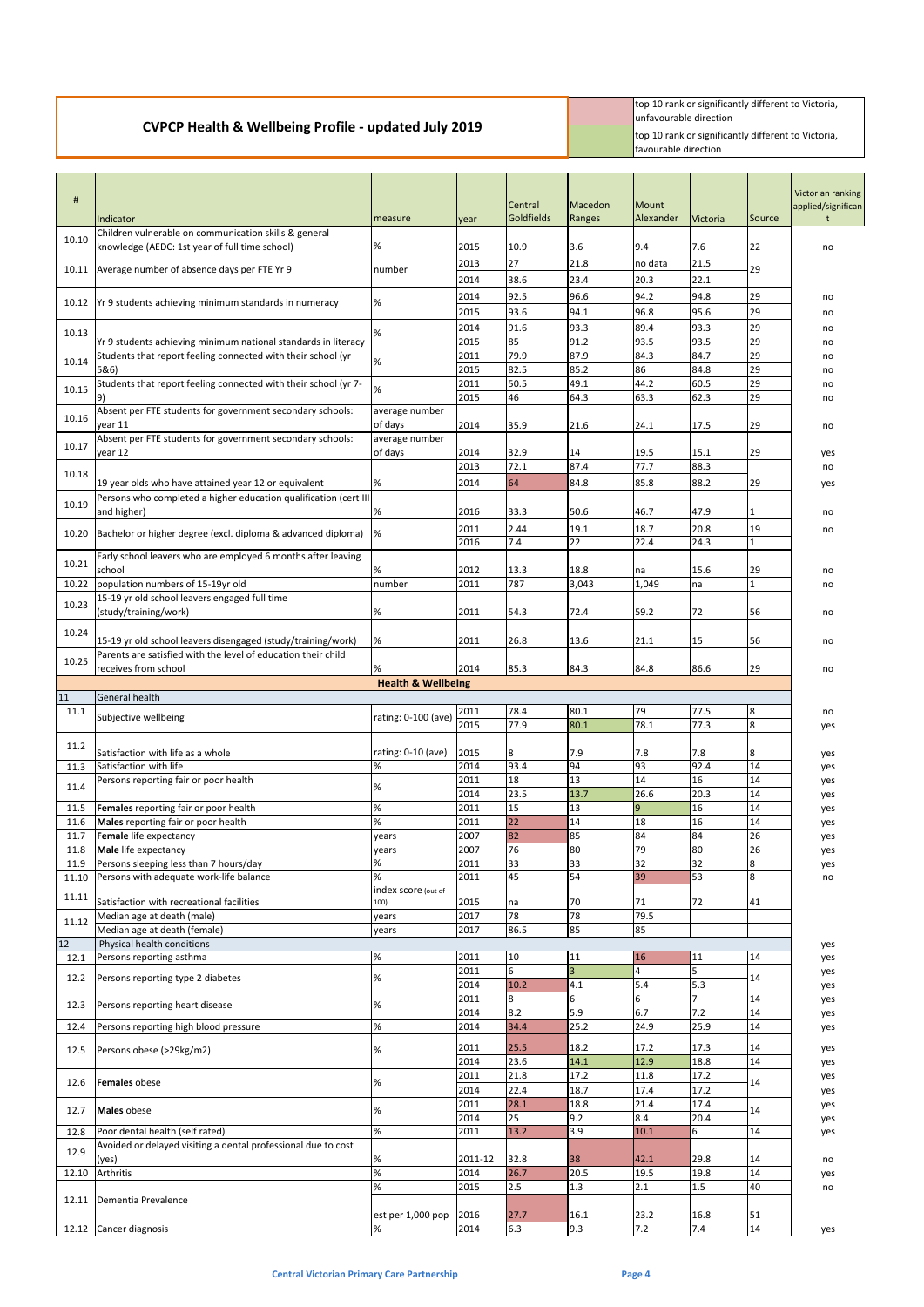top 10 rank or significantly different to Victoria, unfavourable direction top 10 rank or significantly different to Victoria, favourable direction

| #            | Indicator                                                                                               | measure                       | year         | Central<br>Goldfields | Macedon<br>Ranges     | <b>Mount</b><br>Alexander | <b>Victoria</b> | Source   | Victorian ranking<br>applied/significan |
|--------------|---------------------------------------------------------------------------------------------------------|-------------------------------|--------------|-----------------------|-----------------------|---------------------------|-----------------|----------|-----------------------------------------|
| 10.10        | Children vulnerable on communication skills & general<br>knowledge (AEDC: 1st year of full time school) | %                             | 2015         | 10.9                  | 3.6                   | 9.4                       | 7.6             | 22       |                                         |
|              | 10.11 Average number of absence days per FTE Yr 9                                                       | number                        | 2013         | 27                    | 21.8                  | no data                   | 21.5            | 29       | no                                      |
|              |                                                                                                         |                               | 2014         | 38.6                  | 23.4                  | 20.3                      | 22.1            |          |                                         |
|              | 10.12 Yr 9 students achieving minimum standards in numeracy                                             | %                             | 2014<br>2015 | 92.5<br>93.6          | 96.6<br>94.1          | 94.2<br>96.8              | 94.8<br>95.6    | 29<br>29 | no<br>no                                |
| 10.13        |                                                                                                         | %                             | 2014         | 91.6                  | 93.3                  | 89.4                      | 93.3            | 29       | no                                      |
|              | Yr 9 students achieving minimum national standards in literacy                                          |                               | 2015         | 85                    | 91.2                  | 93.5                      | 93.5            | 29       | no                                      |
| 10.14        | Students that report feeling connected with their school (yr<br>5&6)                                    | %                             | 2011<br>2015 | 79.9<br>82.5          | 87.9<br>85.2          | 84.3<br>86                | 84.7<br>84.8    | 29<br>29 | no<br>no                                |
| 10.15        | Students that report feeling connected with their school (yr 7-                                         | %                             | 2011         | 50.5                  | 49.1                  | 44.2                      | 60.5            | 29       | no                                      |
| 10.16        | 9)<br>Absent per FTE students for government secondary schools:                                         | average number                | 2015         | 46                    | 64.3                  | 63.3                      | 62.3            | 29       | no                                      |
|              | year 11<br>Absent per FTE students for government secondary schools:                                    | of days<br>average number     | 2014         | 35.9                  | 21.6                  | 24.1                      | 17.5            | 29       | no                                      |
| 10.17        | year 12                                                                                                 | of days                       | 2014         | 32.9                  | 14                    | 19.5                      | 15.1            | 29       | yes                                     |
| 10.18        |                                                                                                         |                               | 2013         | 72.1                  | 87.4                  | 77.7                      | 88.3            |          | no                                      |
|              | 19 year olds who have attained year 12 or equivalent                                                    | %                             | 2014         | 64                    | 84.8                  | 85.8                      | 88.2            | 29       | yes                                     |
| 10.19        | Persons who completed a higher education qualification (cert III<br>and higher)                         | $\%$                          | 2016         | 33.3                  | 50.6                  | 46.7                      | 47.9            |          | no                                      |
| 10.20        | Bachelor or higher degree (excl. diploma & advanced diploma)                                            | %                             | 2011         | 2.44                  | 19.1                  | 18.7                      | 20.8            | 19       | no                                      |
|              |                                                                                                         |                               | 2016         | 7.4                   | 22                    | 22.4                      | 24.3            | 1        |                                         |
| 10.21        | Early school leavers who are employed 6 months after leaving<br>school                                  | %                             | 2012         | 13.3                  | 18.8                  | na                        | 15.6            | 29       | no                                      |
| 10.22        | population numbers of 15-19yr old                                                                       | number                        | 2011         | 787                   | 3,043                 | 1,049                     | na              |          | no                                      |
| 10.23        | 15-19 yr old school leavers engaged full time                                                           |                               |              |                       |                       |                           |                 |          |                                         |
|              | (study/training/work)                                                                                   | %                             | 2011         | 54.3                  | 72.4                  | 59.2                      | 72              | 56       | no                                      |
| 10.24        | 15-19 yr old school leavers disengaged (study/training/work)                                            | %                             | 2011         | 26.8                  | 13.6                  | 21.1                      | 15              | 56       | no                                      |
| 10.25        | Parents are satisfied with the level of education their child<br>receives from school                   | %                             | 2014         | 85.3                  | 84.3                  | 84.8                      | 86.6            | 29       | no                                      |
|              |                                                                                                         | <b>Health &amp; Wellbeing</b> |              |                       |                       |                           |                 |          |                                         |
| 11           | General health                                                                                          |                               |              |                       |                       |                           |                 |          |                                         |
| 11.1         | Subjective wellbeing                                                                                    | rating: 0-100 (ave)           | 2011<br>2015 | 78.4<br>77.9          | 80.1<br>80.1          | 79<br>78.1                | 77.5<br>77.3    | 8<br>8   | no<br>yes                               |
| 11.2         |                                                                                                         |                               |              |                       |                       |                           |                 |          |                                         |
|              | Satisfaction with life as a whole                                                                       | rating: 0-10 (ave)            | 2015         | 8<br>93.4             | 7.9                   | 7.8                       | 7.8             | 8        | yes                                     |
| 11.3         | Satisfaction with life<br>Persons reporting fair or poor health                                         | %                             | 2014<br>2011 | 18                    | 94<br>13              | 93<br>14                  | 92.4<br>16      | 14<br>14 | yes<br>yes                              |
| 11.4         |                                                                                                         | %                             | 2014         | 23.5                  | 13.7                  | 26.6                      | 20.3            | 14       | yes                                     |
| 11.5<br>11.6 | Females reporting fair or poor health<br>Males reporting fair or poor health                            | $\%$<br>%                     | 2011<br>2011 | 15<br>22              | 13<br>14              | $\overline{9}$<br>18      | 16<br>16        | 14<br>14 | yes                                     |
| 11.7         | Female life expectancy                                                                                  | years                         | 2007         | 82                    | 85                    | 84                        | 84              | 26       | yes<br>yes                              |
| 11.8         | Male life expectancy                                                                                    | years                         | 2007         | 76                    | 80                    | 79                        | 80              | 26       | yes                                     |
| 11.9         | Persons sleeping less than 7 hours/day                                                                  | %                             | 2011         | 33                    | 33                    | 32                        | 32              | 8        | yes                                     |
| 11.10        | Persons with adequate work-life balance                                                                 | %<br>index score (out of      | 2011         | 45                    | 54                    | 39                        | 53              | 8        | no                                      |
| 11.11        | Satisfaction with recreational facilities                                                               | 100)                          | 2015         | na                    | 70                    | 71                        | 72              | 41       |                                         |
| 11.12        | Median age at death (male)<br>Median age at death (female)                                              | years<br>years                | 2017<br>2017 | 78<br>86.5            | 78<br>85              | 79.5<br>85                |                 |          |                                         |
| 12           | Physical health conditions                                                                              |                               |              |                       |                       |                           |                 |          | yes                                     |
| 12.1         | Persons reporting asthma                                                                                | %                             | 2011         | 10<br>$6\overline{6}$ | 11                    | 16                        | 11<br>5         | 14       | yes                                     |
| 12.2         | Persons reporting type 2 diabetes                                                                       | %                             | 2011<br>2014 | 10.2                  | $\overline{3}$<br>4.1 | 4<br>5.4                  | 5.3             | 14       | yes<br>yes                              |
| 12.3         | Persons reporting heart disease                                                                         | %                             | 2011         | 8                     | 6                     | 6                         | 7               | 14       | yes                                     |
| 12.4         | Persons reporting high blood pressure                                                                   | $\%$                          | 2014<br>2014 | 8.2<br>34.4           | 5.9<br>25.2           | 6.7<br>24.9               | 7.2<br>25.9     | 14<br>14 | yes<br>yes                              |
|              |                                                                                                         |                               |              | 25.5                  | 18.2                  | 17.2                      | 17.3            |          |                                         |
| 12.5         | Persons obese (>29kg/m2)                                                                                | %                             | 2011<br>2014 | 23.6                  | 14.1                  | 12.9                      | 18.8            | 14<br>14 | yes<br>yes                              |
| 12.6         | <b>Females</b> obese                                                                                    | %                             | 2011         | 21.8                  | 17.2                  | 11.8                      | 17.2            | 14       | yes                                     |
|              |                                                                                                         |                               | 2014<br>2011 | 22.4<br>28.1          | 18.7<br>18.8          | 17.4<br>21.4              | 17.2<br>17.4    |          | yes                                     |
| 12.7         | Males obese                                                                                             | %                             | 2014         | 25                    | 9.2                   | 8.4                       | 20.4            | 14       | yes<br>yes                              |
| 12.8         | Poor dental health (self rated)                                                                         | %                             | 2011         | 13.2                  | 3.9                   | 10.1                      | 6               | 14       | yes                                     |
| 12.9         | Avoided or delayed visiting a dental professional due to cost<br>(yes)                                  | $\%$                          | 2011-12      | 32.8                  | 38                    | 42.1                      | 29.8            | 14       |                                         |
| 12.10        | Arthritis                                                                                               | $\approx$                     | 2014         | 26.7                  | 20.5                  | 19.5                      | 19.8            | 14       | no<br>yes                               |
|              |                                                                                                         | %                             | 2015         | 2.5                   | 1.3                   | 2.1                       | 1.5             | 40       | no                                      |
|              | 12.11 Dementia Prevalence                                                                               | est per 1,000 pop             | 2016         | 27.7                  | 16.1                  | 23.2                      | 16.8            | 51       |                                         |
|              | 12.12 Cancer diagnosis                                                                                  | %                             | 2014         | 6.3                   | 9.3                   | 7.2                       | 7.4             | 14       | yes                                     |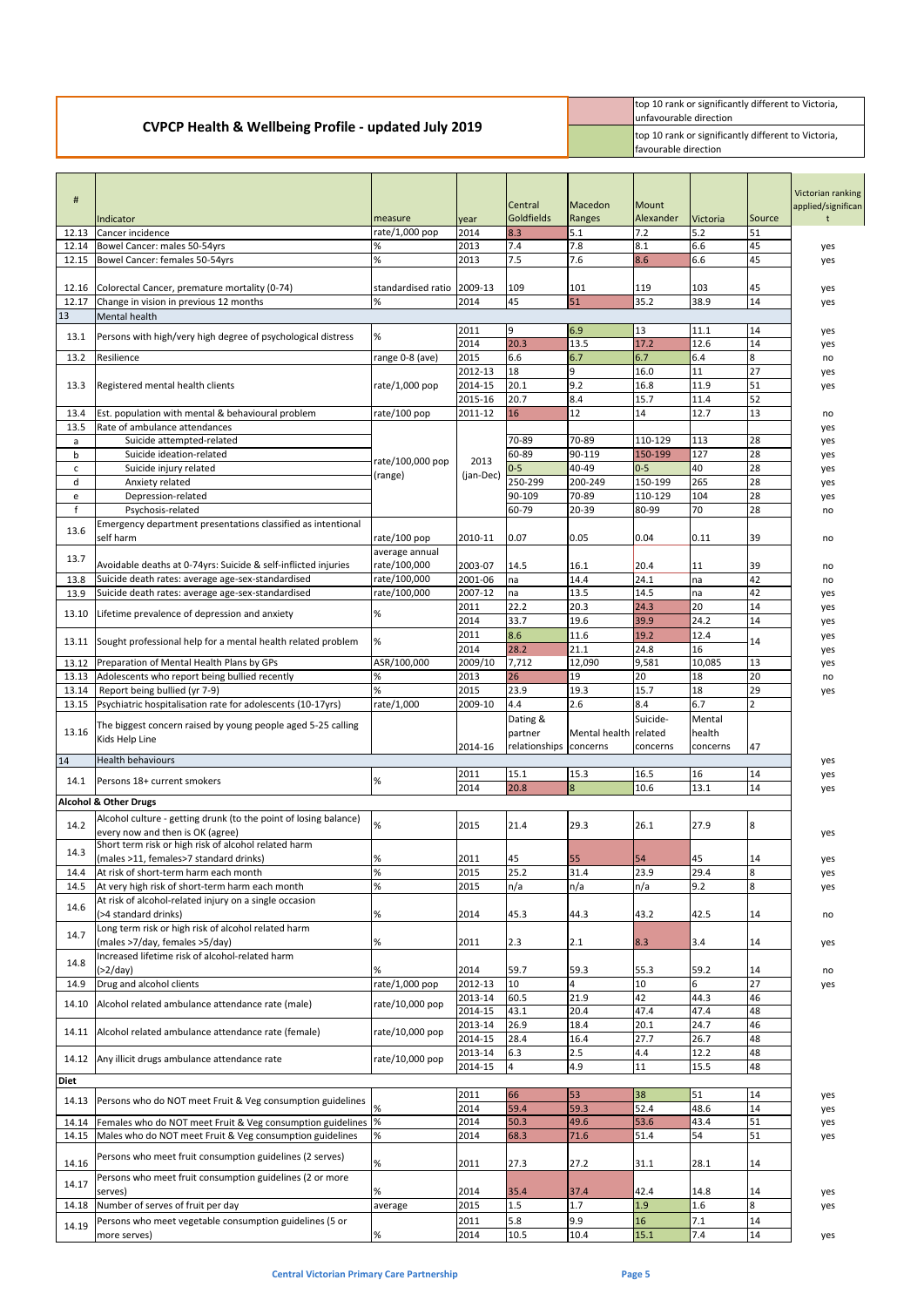|                                                                 | top 10 rank or significantly different to Victoria,<br>lunfavourable direction       |
|-----------------------------------------------------------------|--------------------------------------------------------------------------------------|
| <b>CVPCP Health &amp; Wellbeing Profile - updated July 2019</b> | top 10 rank or significantly different to Victoria,<br><b>I</b> favourable direction |

| #            | Indicator                                                               | measure            | year         | Central<br>Goldfields  | Macedon<br>Ranges     | Mount<br>Alexander | <b>Victoria</b> | Source           | Victorian ranking<br>applied/significan |
|--------------|-------------------------------------------------------------------------|--------------------|--------------|------------------------|-----------------------|--------------------|-----------------|------------------|-----------------------------------------|
| 12.13        | Cancer incidence                                                        | rate/1,000 pop     | 2014         | 8.3                    | 5.1                   | 7.2                | 5.2             | 51               |                                         |
| 12.14        | Bowel Cancer: males 50-54yrs                                            | %                  | 2013         | 7.4                    | 7.8                   | 8.1                | 6.6             | 45               | yes                                     |
| 12.15        | Bowel Cancer: females 50-54yrs                                          | $\%$               | 2013         | 7.5                    | 7.6                   | 8.6                | 6.6             | 45               | yes                                     |
|              |                                                                         |                    |              |                        |                       |                    |                 |                  |                                         |
| 12.16        | Colorectal Cancer, premature mortality (0-74)                           | standardised ratio | 2009-13      | 109                    | 101                   | 119                | 103             | 45               | yes                                     |
| 12.17        | Change in vision in previous 12 months                                  | $\%$               | 2014         | 45                     | 51                    | 35.2               | 38.9            | 14               | yes                                     |
| 13           | Mental health                                                           |                    |              |                        |                       |                    |                 |                  |                                         |
| 13.1         | Persons with high/very high degree of psychological distress            | $\%$               | 2011         | 9                      | 6.9                   | 13                 | 11.1            | 14               | yes                                     |
|              |                                                                         |                    | 2014         | 20.3                   | 13.5                  | 17.2               | 12.6            | 14               | yes                                     |
| 13.2         | Resilience                                                              | range 0-8 (ave)    | 2015         | 6.6                    | 6.7                   | 6.7                | 6.4             | $\boldsymbol{8}$ | no                                      |
|              |                                                                         |                    | 2012-13      | 18                     | 9                     | 16.0               | 11              | 27               | yes                                     |
| 13.3         | Registered mental health clients                                        | rate/1,000 pop     | 2014-15      | 20.1                   | 9.2                   | 16.8               | 11.9            | 51               | yes                                     |
|              |                                                                         |                    | 2015-16      | 20.7                   | 8.4                   | 15.7               | 11.4            | 52               |                                         |
| 13.4         | Est. population with mental & behavioural problem                       | rate/100 pop       | 2011-12      | 16                     | 12                    | 14                 | 12.7            | 13               | no                                      |
| 13.5         | Rate of ambulance attendances                                           |                    |              |                        |                       |                    |                 |                  | yes                                     |
| a            | Suicide attempted-related                                               |                    |              | 70-89                  | 70-89                 | 110-129            | 113             | 28               | yes                                     |
| b            | Suicide ideation-related                                                | rate/100,000 pop   | 2013         | 60-89                  | 90-119                | 150-199            | 127             | 28               | yes                                     |
| с            | Suicide injury related                                                  |                    |              | $0-5$                  | 40-49                 | $0-5$              | 40              | 28               | yes                                     |
| d            | Anxiety related                                                         | (range)            | (jan-Dec)    | 250-299                | 200-249               | 150-199            | 265             | 28               | yes                                     |
| e            | Depression-related                                                      |                    |              | 90-109                 | 70-89                 | 110-129            | 104             | 28               | yes                                     |
| $\mathsf{f}$ | Psychosis-related                                                       |                    |              | 60-79                  | 20-39                 | 80-99              | 70              | 28               | no                                      |
|              | Emergency department presentations classified as intentional            |                    |              |                        |                       |                    |                 |                  |                                         |
| 13.6         | self harm                                                               | rate/100 pop       | 2010-11      | 0.07                   | 0.05                  | 0.04               | 0.11            | 39               | no                                      |
|              |                                                                         | average annual     |              |                        |                       |                    |                 |                  |                                         |
| 13.7         | Avoidable deaths at 0-74yrs: Suicide & self-inflicted injuries          | rate/100,000       | 2003-07      | 14.5                   | 16.1                  | 20.4               | 11              | 39               | no                                      |
| 13.8         | Suicide death rates: average age-sex-standardised                       | rate/100,000       | 2001-06      | na                     | 14.4                  | 24.1               | na              | 42               | no                                      |
| 13.9         | Suicide death rates: average age-sex-standardised                       | rate/100,000       | 2007-12      | na                     | 13.5                  | 14.5               | Ina             | 42               | yes                                     |
|              |                                                                         |                    | 2011         | 22.2                   | 20.3                  | 24.3               | 20              | 14               | yes                                     |
| 13.10        | Lifetime prevalence of depression and anxiety                           | $\%$               | 2014         | 33.7                   | 19.6                  | 39.9               | 24.2            | 14               | yes                                     |
|              |                                                                         |                    | 2011         | 8.6                    | 11.6                  | 19.2               | 12.4            |                  | yes                                     |
| 13.11        | Sought professional help for a mental health related problem            | %                  | 2014         | 28.2                   | 21.1                  | 24.8               | 16              | 14               | yes                                     |
|              | 13.12 Preparation of Mental Health Plans by GPs                         | ASR/100,000        | 2009/10      | 7,712                  | 12,090                | 9,581              | 10,085          | 13               | yes                                     |
| 13.13        | Adolescents who report being bullied recently                           | $\%$               | 2013         | 26                     | 19                    | 20                 | 18              | 20               | no                                      |
| 13.14        | Report being bullied (yr 7-9)                                           | %                  | 2015         | 23.9                   | 19.3                  | 15.7               | 18              | 29               | yes                                     |
| 13.15        | Psychiatric hospitalisation rate for adolescents (10-17yrs)             | rate/1,000         | 2009-10      | 4.4                    | 2.6                   | 8.4                | 6.7             | $\mathfrak{p}$   |                                         |
|              |                                                                         |                    |              | Dating &               |                       | Suicide-           | Mental          |                  |                                         |
| 13.16        | The biggest concern raised by young people aged 5-25 calling            |                    |              | partner                | Mental health related |                    | health          |                  |                                         |
|              | Kids Help Line                                                          |                    | 2014-16      | relationships concerns |                       | concerns           |                 | 47               |                                         |
| 14           | <b>Health behaviours</b>                                                |                    |              |                        |                       |                    | concerns        |                  |                                         |
|              |                                                                         |                    | 2011         | 15.1                   | 15.3                  | 16.5               | 16              | 14               | yes                                     |
| 14.1         | Persons 18+ current smokers                                             | $\%$               | 2014         | 20.8                   | 8                     | 10.6               | 13.1            | 14               | yes                                     |
|              | <b>Alcohol &amp; Other Drugs</b>                                        |                    |              |                        |                       |                    |                 |                  | yes                                     |
|              |                                                                         |                    |              |                        |                       |                    |                 |                  |                                         |
| 14.2         | Alcohol culture - getting drunk (to the point of losing balance)        | $\%$               | 2015         | 21.4                   | 29.3                  | 26.1               | 27.9            | 8                |                                         |
|              | every now and then is OK (agree)                                        |                    |              |                        |                       |                    |                 |                  | yes                                     |
| 14.3         | Short term risk or high risk of alcohol related harm                    |                    |              |                        |                       |                    |                 |                  |                                         |
|              | (males >11, females>7 standard drinks)                                  | %                  | 2011         | 45                     | 55                    | 54                 | 45              | 14               | yes                                     |
| 14.4         | At risk of short-term harm each month                                   | %                  | 2015         | 25.2                   | 31.4                  | 23.9               | 29.4            | 8                | yes                                     |
| 14.5         | At very high risk of short-term harm each month                         | %                  | 2015         | n/a                    | n/a                   | n/a                | 9.2             | 8                | yes                                     |
| 14.6         | At risk of alcohol-related injury on a single occasion                  |                    |              |                        |                       |                    |                 |                  |                                         |
|              | (>4 standard drinks)                                                    | %                  | 2014         | 45.3                   | 44.3                  | 43.2               | 42.5            | 14               | no                                      |
| 14.7         | Long term risk or high risk of alcohol related harm                     |                    |              |                        |                       |                    |                 |                  |                                         |
|              | (males >7/day, females >5/day)                                          | %                  | 2011         | 2.3                    | 2.1                   | 8.3                | 3.4             | 14               | yes                                     |
| 14.8         |                                                                         |                    |              |                        |                       |                    |                 |                  |                                         |
|              | Increased lifetime risk of alcohol-related harm                         |                    |              |                        |                       |                    |                 |                  |                                         |
| 14.9         | $(>2$ /day)                                                             | %                  | 2014         | 59.7                   | 59.3                  | 55.3               | 59.2            | 14               | no                                      |
|              | Drug and alcohol clients                                                | rate/1,000 pop     | 2012-13      | 10                     |                       | 10                 | 6               | 27               | yes                                     |
|              |                                                                         |                    | 2013-14      | 60.5                   | 21.9                  | 42                 | 44.3            | 46               |                                         |
| 14.10        | Alcohol related ambulance attendance rate (male)                        | rate/10,000 pop    | 2014-15      | 43.1                   | 20.4                  | 47.4               | 47.4            | 48               |                                         |
|              |                                                                         |                    | 2013-14      | 26.9                   | 18.4                  | 20.1               | 24.7            | 46               |                                         |
| 14.11        | Alcohol related ambulance attendance rate (female)                      | rate/10,000 pop    | 2014-15      | 28.4                   | 16.4                  | 27.7               | 26.7            | 48               |                                         |
|              |                                                                         |                    | 2013-14      | 6.3                    | 2.5                   | 4.4                | 12.2            | 48               |                                         |
| 14.12        | Any illicit drugs ambulance attendance rate                             | rate/10,000 pop    | 2014-15      | $\overline{4}$         | 4.9                   | 11                 | 15.5            | 48               |                                         |
| <b>Diet</b>  |                                                                         |                    |              |                        |                       |                    |                 |                  |                                         |
|              |                                                                         |                    | 2011         | 66                     | 53                    | 38                 | 51              | 14               | yes                                     |
| 14.13        | Persons who do NOT meet Fruit & Veg consumption guidelines              | %                  | 2014         | 59.4                   | 59.3                  | 52.4               | 48.6            | 14               | yes                                     |
| 14.14        | Females who do NOT meet Fruit & Veg consumption guidelines  %           |                    | 2014         | 50.3                   | 49.6                  | 53.6               | 43.4            | 51               | yes                                     |
| 14.15        | Males who do NOT meet Fruit & Veg consumption guidelines                | %                  | 2014         | 68.3                   | 71.6                  | 51.4               | 54              | 51               | yes                                     |
|              |                                                                         |                    |              |                        |                       |                    |                 |                  |                                         |
| 14.16        | Persons who meet fruit consumption guidelines (2 serves)                | $\%$               | 2011         | 27.3                   | 27.2                  | 31.1               | 28.1            | 14               |                                         |
|              | Persons who meet fruit consumption guidelines (2 or more                |                    |              |                        |                       |                    |                 |                  |                                         |
| 14.17        | serves)                                                                 | $\%$               | 2014         | 35.4                   | 37.4                  | 42.4               | 14.8            | 14               |                                         |
| 14.18        |                                                                         |                    | 2015         | 1.5                    | 1.7                   | 1.9                | 1.6             | $\boldsymbol{8}$ | yes<br>yes                              |
|              | Number of serves of fruit per day                                       | average            |              |                        |                       |                    |                 |                  |                                         |
| 14.19        | Persons who meet vegetable consumption guidelines (5 or<br>more serves) | $\%$               | 2011<br>2014 | 5.8<br>10.5            | 9.9<br>10.4           | 16<br>15.1         | 7.1<br>7.4      | 14<br>14         | yes                                     |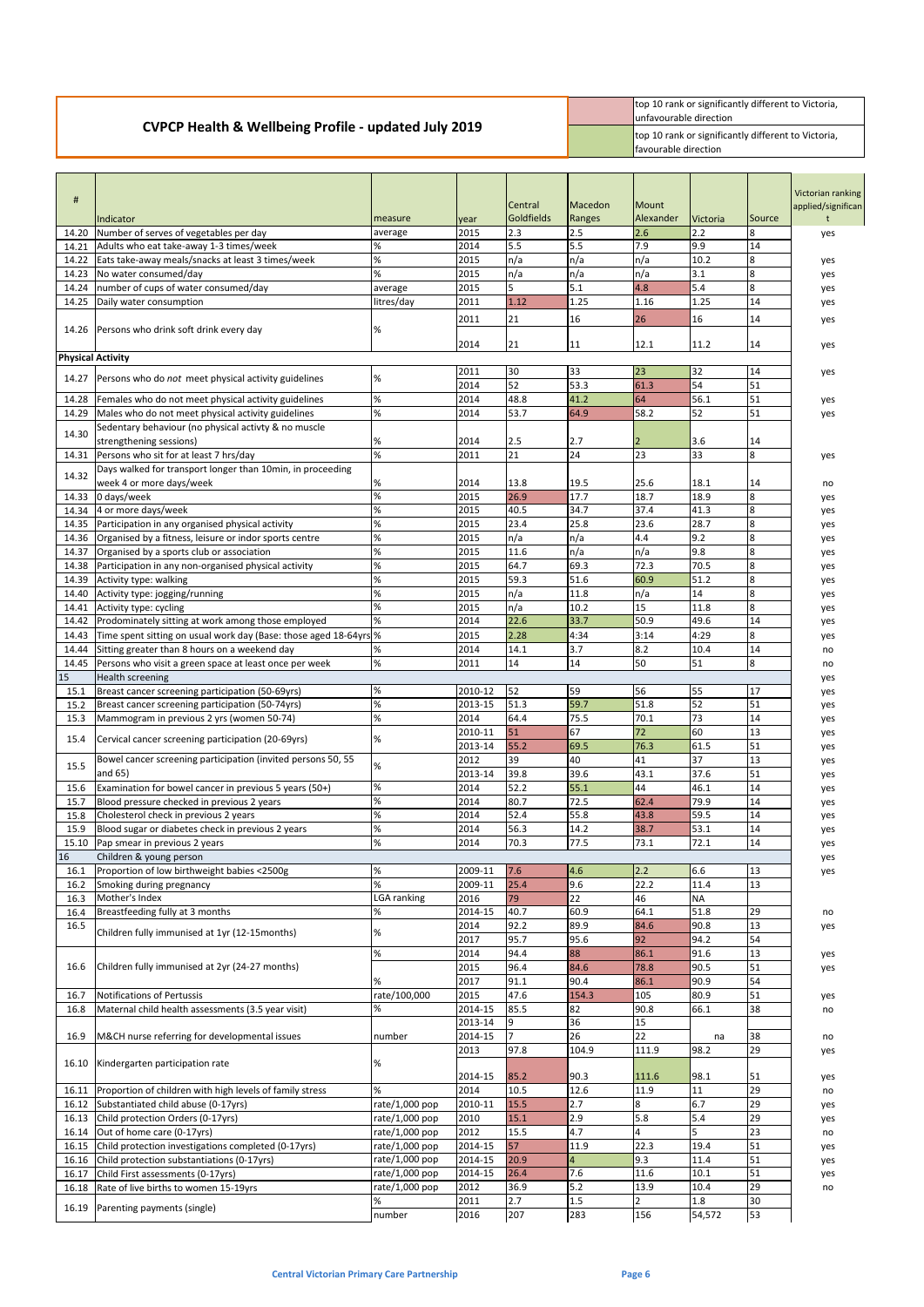|                                                                 | top 10 rank or significantly different to Victoria,<br><b>Iunfavourable direction</b> |
|-----------------------------------------------------------------|---------------------------------------------------------------------------------------|
| <b>CVPCP Health &amp; Wellbeing Profile - updated July 2019</b> | top 10 rank or significantly different to Victoria,<br><b>favourable direction</b>    |

| #            | Indicator                                                                                            | measure        | year               | Central<br>Goldfields | Macedon<br>Ranges | <b>Mount</b><br>Alexander | <b>Victoria</b> | Source           | Victorian ranking<br>applied/significan |
|--------------|------------------------------------------------------------------------------------------------------|----------------|--------------------|-----------------------|-------------------|---------------------------|-----------------|------------------|-----------------------------------------|
| 14.20        | Number of serves of vegetables per day                                                               | average        | 2015               | 2.3                   | 2.5               | 2.6                       | 2.2             | 8                | yes                                     |
| 14.21        | Adults who eat take-away 1-3 times/week                                                              | %              | 2014               | 5.5                   | 5.5               | 7.9                       | 9.9             | 14               |                                         |
| 14.22        | Eats take-away meals/snacks at least 3 times/week                                                    | $\%$           | 2015               | n/a                   | n/a               | n/a                       | 10.2            | 8                | yes                                     |
| 14.23        | No water consumed/day                                                                                | %              | 2015               | n/a                   | n/a               | n/a                       | 3.1             | 8                | yes                                     |
| 14.24        | number of cups of water consumed/day                                                                 | average        | 2015               | 5                     | 5.1               | 4.8                       | 5.4             | 8                | yes                                     |
| 14.25        | Daily water consumption                                                                              | litres/day     | 2011               | 1.12                  | 1.25              | 1.16                      | 1.25            | 14               | yes                                     |
| 14.26        | Persons who drink soft drink every day                                                               | %              | 2011               | 21                    | 16                | 26                        | 16              | 14               | yes                                     |
|              |                                                                                                      |                | 2014               | 21                    | 11                | 12.1                      | 11.2            | 14               | yes                                     |
|              | <b>Physical Activity</b>                                                                             |                | 2011               | 30                    | 33                | 23                        | 32              | 14               |                                         |
| 14.27        | Persons who do not meet physical activity guidelines                                                 | %              | 2014               | 52                    | 53.3              | 61.3                      | 54              | 51               | yes                                     |
| 14.28        | Females who do not meet physical activity guidelines                                                 | %              | 2014               | 48.8                  | 41.2              | 64                        | 56.1            | 51               | yes                                     |
| 14.29        | Males who do not meet physical activity guidelines                                                   | $\%$           | 2014               | 53.7                  | 64.9              | 58.2                      | 52              | 51               | yes                                     |
|              | Sedentary behaviour (no physical activty & no muscle                                                 |                |                    |                       |                   |                           |                 |                  |                                         |
| 14.30        | strengthening sessions)                                                                              | %              | 2014               | 2.5                   | 2.7               | 2                         | 3.6             | 14               |                                         |
| 14.31        | Persons who sit for at least 7 hrs/day                                                               | $\%$           | 2011               | $\overline{21}$       | 24                | $\overline{23}$           | 33              | $\boldsymbol{8}$ | yes                                     |
|              | Days walked for transport longer than 10min, in proceeding                                           |                |                    |                       |                   |                           |                 |                  |                                         |
| 14.32        | week 4 or more days/week                                                                             | %              | 2014               | 13.8                  | 19.5              | 25.6                      | 18.1            | 14               | no                                      |
| 14.33        | 0 days/week                                                                                          | $\%$           | 2015               | 26.9                  | 17.7              | 18.7                      | 18.9            | 8                | yes                                     |
| 14.34        | 4 or more days/week                                                                                  | $\%$           | 2015               | 40.5                  | 34.7              | 37.4                      | 41.3            | $\overline{8}$   | yes                                     |
| 14.35        | Participation in any organised physical activity                                                     | %              | 2015               | 23.4                  | 25.8              | 23.6                      | 28.7            | $\boldsymbol{8}$ | yes                                     |
| 14.36        | Organised by a fitness, leisure or indor sports centre                                               | $\%$           | 2015               | n/a                   | n/a               | 4.4                       | 9.2             | $\boldsymbol{8}$ | yes                                     |
| 14.37        | Organised by a sports club or association                                                            | %              | 2015               | 11.6                  | n/a               | n/a                       | 9.8             | $\boldsymbol{8}$ | yes                                     |
| 14.38        | Participation in any non-organised physical activity                                                 | $\%$           | 2015               | 64.7                  | 69.3              | 72.3                      | 70.5            | $\overline{8}$   | yes                                     |
| 14.39        | Activity type: walking                                                                               | %              | 2015               | 59.3                  | 51.6              | 60.9                      | 51.2            | $\boldsymbol{8}$ | yes                                     |
| 14.40        | Activity type: jogging/running                                                                       | %              | 2015               | n/a                   | 11.8              | n/a                       | 14              | 8                | yes                                     |
| 14.41        | Activity type: cycling                                                                               | $\%$           | 2015               | n/a                   | 10.2              | 15                        | 11.8            | $\boldsymbol{8}$ | yes                                     |
| 14.42        | Prodominately sitting at work among those employed                                                   | %              | 2014               | 22.6                  | 33.7              | 50.9                      | 49.6            | 14               | yes                                     |
| 14.43        | Time spent sitting on usual work day (Base: those aged 18-64yrs %                                    |                | 2015               | 2.28                  | 4:34              | 3:14                      | 4:29            | 8                | yes                                     |
| 14.44        | Sitting greater than 8 hours on a weekend day                                                        | %              | 2014               | 14.1                  | 3.7               | 8.2                       | 10.4            | 14               | no                                      |
| 14.45        | Persons who visit a green space at least once per week                                               | $\%$           | 2011               | 14                    | 14                | 50                        | 51              | 8                | no                                      |
| 15           | <b>Health screening</b>                                                                              | %              |                    | 52                    | 59                | 56                        | 55              | 17               | yes                                     |
| 15.1<br>15.2 | Breast cancer screening participation (50-69yrs)<br>Breast cancer screening participation (50-74yrs) | $\%$           | 2010-12<br>2013-15 | 51.3                  | 59.7              | 51.8                      | 52              | 51               | yes                                     |
| 15.3         | Mammogram in previous 2 yrs (women 50-74)                                                            | %              | 2014               | 64.4                  | 75.5              | 70.1                      | 73              | 14               | yes                                     |
|              |                                                                                                      |                | 2010-11            | 51                    | 67                | 72                        | 60              | 13               | yes<br>yes                              |
| 15.4         | Cervical cancer screening participation (20-69yrs)                                                   | %              | 2013-14            | 55.2                  | 69.5              | 76.3                      | 61.5            | 51               | yes                                     |
|              | Bowel cancer screening participation (invited persons 50, 55                                         |                | 2012               | 39                    | 40                | 41                        | 37              | 13               | yes                                     |
| 15.5         | and 65)                                                                                              | %              | 2013-14            | 39.8                  | 39.6              | 43.1                      | 37.6            | 51               | yes                                     |
| 15.6         | Examination for bowel cancer in previous 5 years (50+)                                               | %              | 2014               | 52.2                  | 55.1              | 44                        | 46.1            | 14               | yes                                     |
| 15.7         | Blood pressure checked in previous 2 years                                                           | %              | 2014               | 80.7                  | 72.5              | 62.4                      | 79.9            | 14               | yes                                     |
| 15.8         | Cholesterol check in previous 2 years                                                                | %              | 2014               | 52.4                  | 55.8              | 43.8                      | 59.5            | 14               | yes                                     |
| 15.9         | Blood sugar or diabetes check in previous 2 years                                                    | %              | 2014               | 56.3                  | 14.2              | 38.7                      | 53.1            | 14               | yes                                     |
| 15.10        | Pap smear in previous 2 years                                                                        | $\%$           | 2014               | 70.3                  | 77.5              | 73.1                      | 72.1            | 14               | yes                                     |
| 16           | Children & young person                                                                              |                |                    |                       |                   |                           |                 |                  | yes                                     |
| 16.1         | Proportion of low birthweight babies <2500g                                                          | %              | 2009-11            | 7.6                   | 4.6               | 2.2                       | 6.6             | 13               | yes                                     |
| 16.2         | Smoking during pregnancy                                                                             | $\%$           | 2009-11            | 25.4                  | 9.6               | 22.2                      | 11.4            | 13               |                                         |
| 16.3         | Mother's Index                                                                                       | LGA ranking    | 2016               | 79                    | 22                | 46                        | <b>NA</b>       |                  |                                         |
| 16.4         | Breastfeeding fully at 3 months                                                                      | %              | 2014-15            | 40.7                  | 60.9              | 64.1                      | 51.8            | 29               | no                                      |
| 16.5         | Children fully immunised at 1yr (12-15months)                                                        | %              | 2014               | 92.2                  | 89.9              | 84.6                      | 90.8            | 13               | yes                                     |
|              |                                                                                                      |                | 2017               | 95.7                  | 95.6              | 92                        | 94.2            | 54               |                                         |
|              |                                                                                                      | %              | 2014               | 94.4                  | 88                | 86.1                      | 91.6            | 13               | yes                                     |
| 16.6         | Children fully immunised at 2yr (24-27 months)                                                       |                | 2015               | 96.4                  | 84.6              | 78.8                      | 90.5            | 51               | yes                                     |
|              |                                                                                                      | %              | 2017               | 91.1                  | 90.4              | 86.1                      | 90.9            | 54               |                                         |
| 16.7         | Notifications of Pertussis                                                                           | rate/100,000   | 2015               | 47.6                  | 154.3             | 105                       | 80.9            | 51               | yes                                     |
| 16.8         | Maternal child health assessments (3.5 year visit)                                                   | %              | 2014-15            | 85.5                  | 82                | 90.8                      | 66.1            | 38               | no                                      |
|              |                                                                                                      |                | 2013-14            | 9                     | 36                | 15                        |                 |                  |                                         |
| 16.9         | M&CH nurse referring for developmental issues                                                        | number         | 2014-15            | 17<br>97.8            | 26<br>104.9       | 22<br>111.9               | na<br>98.2      | 38<br>29         | no                                      |
| 16.10        | Kindergarten participation rate                                                                      | %              | 2013               |                       |                   |                           |                 |                  | yes                                     |
|              |                                                                                                      |                | 2014-15            | 85.2                  | 90.3              | 111.6                     | 98.1            | 51               | yes                                     |
| 16.11        | Proportion of children with high levels of family stress                                             | %              | 2014               | 10.5                  | 12.6              | 11.9                      | 11              | 29               | no                                      |
| 16.12        | Substantiated child abuse (0-17yrs)                                                                  | rate/1,000 pop | 2010-11            | 15.5                  | 2.7               | 8                         | 6.7             | 29               | yes                                     |
| 16.13        | Child protection Orders (0-17yrs)                                                                    | rate/1,000 pop | 2010               | 15.1                  | 2.9               | 5.8                       | 5.4             | 29               | yes                                     |
| 16.14        | Out of home care (0-17yrs)                                                                           | rate/1,000 pop | 2012               | 15.5                  | 4.7               | 4                         | l5              | 23               | no                                      |
| 16.15        | Child protection investigations completed (0-17yrs)                                                  | rate/1,000 pop | 2014-15            | 57                    | 11.9              | 22.3                      | 19.4            | 51               | yes                                     |
| 16.16        | Child protection substantiations (0-17yrs)                                                           | rate/1,000 pop | 2014-15            | 20.9                  | $\overline{4}$    | 9.3                       | 11.4            | 51               | yes                                     |
| 16.17        | Child First assessments (0-17yrs)                                                                    | rate/1,000 pop | 2014-15            | 26.4                  | 7.6               | 11.6                      | 10.1            | 51               | yes                                     |
| 16.18        | Rate of live births to women 15-19yrs                                                                | rate/1,000 pop | 2012               | 36.9                  | $5.2$             | 13.9                      | 10.4            | 29               | no                                      |
|              |                                                                                                      | %              | 2011               | 2.7                   | $1.5\,$           | $\overline{2}$            | 1.8             | 30               |                                         |
|              | 16.19 Parenting payments (single)                                                                    | number         | 2016               | 207                   | 283               | 156                       | 54,572          | 53               |                                         |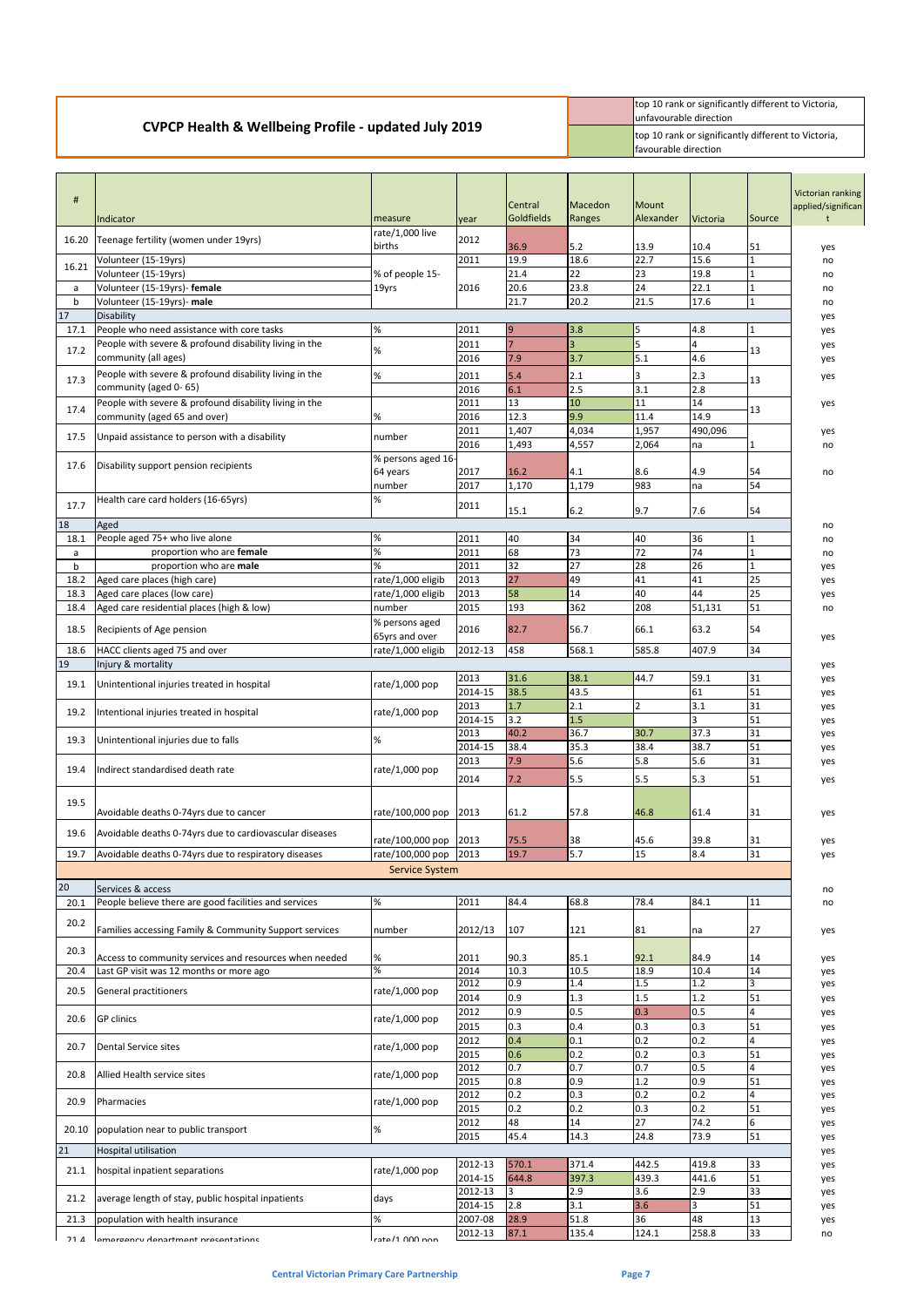## **CVPCP Health & Wellbeing Profile - updated July 2019**

top 10 rank or significantly different to Victoria, unfavourable direction top 10 rank or significantly different to Victoria, favourable direction

| #                    | Indicator                                                                       | measure               | year               | <b>Central</b><br>Goldfields | Macedon<br>Ranges | <b>Mount</b><br>Alexander | Victoria               | Source               | Victorian ranking<br>applied/significan |
|----------------------|---------------------------------------------------------------------------------|-----------------------|--------------------|------------------------------|-------------------|---------------------------|------------------------|----------------------|-----------------------------------------|
| 16.20                | Teenage fertility (women under 19yrs)                                           | rate/1,000 live       | 2012               |                              |                   |                           |                        |                      |                                         |
|                      |                                                                                 | births                |                    | 36.9                         | $5.2$<br>18.6     | 13.9<br>22.7              | 10.4<br>15.6           | 51<br>$\overline{1}$ | yes                                     |
| 16.21                | Volunteer (15-19yrs)<br>Volunteer (15-19yrs)                                    | % of people 15-       | 2011               | 19.9<br>21.4                 | 22                | 23                        | 19.8                   | $\mathbf{1}$         | no<br>no                                |
| a                    | Volunteer (15-19yrs)- female                                                    | 19yrs                 | 2016               | 20.6                         | 23.8              | 24                        | 22.1                   | $\mathbf{1}$         | no                                      |
| $\mathbf b$          | Volunteer (15-19yrs)- male                                                      |                       |                    | 21.7                         | 20.2              | 21.5                      | 17.6                   | $\mathbf{1}$         | no                                      |
| 17                   | Disability                                                                      |                       |                    |                              |                   |                           |                        |                      | yes                                     |
| 17.1                 | People who need assistance with core tasks                                      | %                     | 2011               | $\overline{9}$               | 3.8               | 5                         | 4.8                    | $\vert$ 1            | yes                                     |
| 17.2                 | People with severe & profound disability living in the                          | %                     | 2011               | $\overline{7}$               | 3                 | 5                         | 4                      | 13                   | yes                                     |
|                      | community (all ages)                                                            |                       | 2016               | 7.9                          | 3.7               | 5.1                       | 4.6                    |                      | yes                                     |
| 17.3                 | People with severe & profound disability living in the<br>community (aged 0-65) | %                     | 2011               | 5.4                          | 2.1               | 3                         | 2.3                    | 13                   | yes                                     |
|                      | People with severe & profound disability living in the                          |                       | 2016<br>2011       | 6.1<br>13                    | 2.5<br>10         | 3.1<br>11                 | 2.8<br>$\overline{14}$ |                      | yes                                     |
| 17.4                 | community (aged 65 and over)                                                    | %                     | 2016               | 12.3                         | 9.9               | 11.4                      | 14.9                   | 13                   |                                         |
|                      | Unpaid assistance to person with a disability                                   |                       | 2011               | 1,407                        | 4,034             | 1,957                     | 490,096                |                      | yes                                     |
| 17.5                 |                                                                                 | number                | 2016               | 1,493                        | 4,557             | 2,064                     | na                     |                      | no                                      |
| 17.6                 | Disability support pension recipients                                           | % persons aged 16-    |                    |                              |                   |                           |                        |                      |                                         |
|                      |                                                                                 | 64 years              | 2017               | 16.2                         | 4.1               | 8.6<br>983                | 4.9                    | 54<br>54             | no                                      |
|                      | Health care card holders (16-65yrs)                                             | number<br>%           | 2017               | 1,170                        | 1,179             |                           | na                     |                      |                                         |
| 17.7                 |                                                                                 |                       | 2011               | 15.1                         | $6.2$             | 9.7                       | 7.6                    | 54                   |                                         |
| 18                   | Aged                                                                            |                       |                    |                              |                   |                           |                        |                      | no                                      |
| 18.1                 | People aged 75+ who live alone                                                  | %                     | 2011               | 40                           | 34                | 40                        | 36                     | $\mathbf{1}$         | no                                      |
| a                    | proportion who are female                                                       | %<br>%                | 2011               | 68                           | 73                | 72                        | 74                     | $\overline{1}$       | no                                      |
| $\mathsf{b}$<br>18.2 | proportion who are male<br>Aged care places (high care)                         | rate/1,000 eligib     | 2011<br>2013       | 32<br>27                     | 27<br>49          | 28<br>41                  | 26<br>41               | $\vert$ 1<br>25      | yes<br>yes                              |
| 18.3                 | Aged care places (low care)                                                     | rate/1,000 eligib     | 2013               | 58                           | 14                | 40                        | 44                     | 25                   | yes                                     |
| 18.4                 | Aged care residential places (high & low)                                       | number                | 2015               | 193                          | 362               | 208                       | 51,131                 | 51                   | no                                      |
|                      |                                                                                 | % persons aged        |                    |                              |                   |                           |                        |                      |                                         |
| 18.5                 | Recipients of Age pension                                                       | 65yrs and over        | 2016               | 82.7                         | 56.7              | 66.1                      | 63.2                   | 54                   | yes                                     |
| 18.6                 | HACC clients aged 75 and over                                                   | rate/1,000 eligib     | 2012-13            | 458                          | 568.1             | 585.8                     | 407.9                  | 34                   |                                         |
| 19                   | Injury & mortality                                                              |                       |                    |                              |                   |                           |                        |                      | yes                                     |
| 19.1                 | Unintentional injuries treated in hospital                                      | rate/1,000 pop        | 2013<br>2014-15    | 31.6<br>38.5                 | 38.1<br>43.5      | 44.7                      | 59.1<br>61             | 31<br>51             | yes                                     |
|                      |                                                                                 |                       | 2013               | 1.7                          | 2.1               | $\overline{2}$            | 3.1                    | 31                   | yes<br>yes                              |
| 19.2                 | Intentional injuries treated in hospital                                        | rate/1,000 pop        | 2014-15            | 3.2                          | 1.5               |                           | 3                      | 51                   | yes                                     |
|                      |                                                                                 |                       | 2013               | 40.2                         | 36.7              | 30.7                      | 37.3                   | 31                   | yes                                     |
| 19.3                 | Unintentional injuries due to falls                                             | %                     | 2014-15            | 38.4                         | 35.3              | 38.4                      | 38.7                   | 51                   | yes                                     |
| 19.4                 | Indirect standardised death rate                                                | rate/1,000 pop        | 2013               | 7.9                          | 5.6               | 5.8                       | 5.6                    | 31                   | yes                                     |
|                      |                                                                                 |                       | 2014               | 7.2                          | 5.5               | 5.5                       | 5.3                    | 51                   | yes                                     |
| 19.5                 |                                                                                 |                       |                    |                              |                   |                           |                        |                      |                                         |
|                      | Avoidable deaths 0-74yrs due to cancer                                          | rate/100,000 pop      | 2013               | 61.2                         | 57.8              | 46.8                      | 61.4                   | 31                   | yes                                     |
| 19.6                 | Avoidable deaths 0-74yrs due to cardiovascular diseases                         |                       |                    |                              |                   |                           |                        |                      |                                         |
|                      |                                                                                 | rate/100,000 pop      | 2013               | 75.5                         | 38                | 45.6                      | 39.8                   | 31                   | yes                                     |
| 19.7                 | Avoidable deaths 0-74yrs due to respiratory diseases                            | rate/100,000 pop      | 2013               | 19.7                         | 5.7               | 15                        | 8.4                    | 31                   | yes                                     |
|                      |                                                                                 | <b>Service System</b> |                    |                              |                   |                           |                        |                      |                                         |
| 20                   | Services & access                                                               |                       |                    |                              |                   |                           |                        |                      | no                                      |
| 20.1                 | People believe there are good facilities and services                           | ℅                     | 2011               | 84.4                         | 68.8              | 78.4                      | 84.1                   | 11                   | no                                      |
| 20.2                 | Families accessing Family & Community Support services                          | number                | 2012/13            | 107                          | 121               | 81                        | na                     | 27                   | yes                                     |
|                      |                                                                                 |                       |                    |                              |                   |                           |                        |                      |                                         |
| 20.3                 | Access to community services and resources when needed                          | %                     | 2011               | 90.3                         | 85.1              | 92.1                      | 84.9                   | 14                   | yes                                     |
| 20.4                 | Last GP visit was 12 months or more ago                                         | $\overline{\%}$       | 2014               | 10.3                         | 10.5              | 18.9                      | 10.4                   | 14                   | yes                                     |
| 20.5                 | General practitioners                                                           | rate/1,000 pop        | 2012<br>2014       | 0.9<br>0.9                   | 1.4<br>1.3        | 1.5<br>1.5                | 1.2<br>1.2             | $\overline{3}$<br>51 | yes                                     |
|                      |                                                                                 |                       | 2012               | 0.9                          | 0.5               | 0.3                       | 0.5                    | 4                    | yes<br>yes                              |
| 20.6                 | <b>GP</b> clinics                                                               | rate/1,000 pop        | 2015               | 0.3                          | 0.4               | 0.3                       | 0.3                    | 51                   | yes                                     |
|                      |                                                                                 |                       | 2012               | 0.4                          | 0.1               | 0.2                       | 0.2                    |                      | yes                                     |
| 20.7                 | <b>Dental Service sites</b>                                                     | rate/1,000 pop        | 2015               | 0.6                          | 0.2               | 0.2                       | 0.3                    | 51                   | yes                                     |
| 20.8                 | Allied Health service sites                                                     | rate/1,000 pop        | 2012               | 0.7                          | 0.7               | 0.7                       | 0.5                    | $\overline{4}$       | yes                                     |
|                      |                                                                                 |                       | 2015               | 0.8                          | 0.9               | 1.2                       | 0.9                    | 51                   | yes                                     |
| 20.9                 | Pharmacies                                                                      | rate/1,000 pop        | 2012<br>2015       | 0.2<br>0.2                   | 0.3<br>0.2        | 0.2<br>0.3                | 0.2<br>0.2             | 51                   | yes                                     |
|                      |                                                                                 |                       | 2012               | 48                           | 14                | 27                        | 74.2                   | $6\overline{6}$      | yes<br>yes                              |
| 20.10                | population near to public transport                                             | %                     | 2015               | 45.4                         | 14.3              | 24.8                      | 73.9                   | 51                   | yes                                     |
| 21                   | <b>Hospital utilisation</b>                                                     |                       |                    |                              |                   |                           |                        |                      | yes                                     |
| 21.1                 | hospital inpatient separations                                                  | rate/1,000 pop        | 2012-13            | 570.1                        | 371.4             | 442.5                     | 419.8                  | 33                   | yes                                     |
|                      |                                                                                 |                       | 2014-15            | 644.8                        | 397.3             | 439.3                     | 441.6                  | 51                   | yes                                     |
| 21.2                 | average length of stay, public hospital inpatients                              | days                  | 2012-13            | 3                            | 2.9               | 3.6                       | 2.9<br>3               | 33                   | yes                                     |
| 21.3                 | population with health insurance                                                | %                     | 2014-15<br>2007-08 | 2.8<br>28.9                  | 3.1<br>51.8       | 3.6<br>36                 | 48                     | 51<br>13             | yes<br>yes                              |
|                      |                                                                                 | rato/1 000 non        | 2012-13            | 87.1                         | 135.4             | 124.1                     | 258.8                  | 33                   | no                                      |
| $21$ $\Lambda$       | lamargancy danartmant nracantations                                             |                       |                    |                              |                   |                           |                        |                      |                                         |